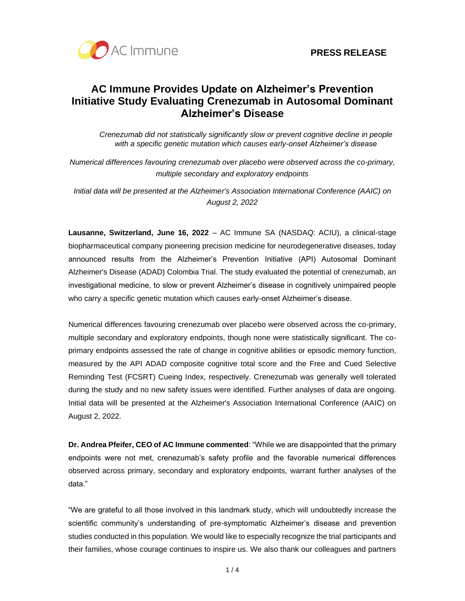

# **AC Immune Provides Update on Alzheimer's Prevention Initiative Study Evaluating Crenezumab in Autosomal Dominant Alzheimer's Disease**

*Crenezumab did not statistically significantly slow or prevent cognitive decline in people with a specific genetic mutation which causes early-onset Alzheimer's disease*

*Numerical differences favouring crenezumab over placebo were observed across the co-primary, multiple secondary and exploratory endpoints*

*Initial data will be presented at the Alzheimer's Association International Conference (AAIC) on August 2, 2022*

**Lausanne, Switzerland, June 16, 2022** – AC Immune SA (NASDAQ: ACIU), a clinical-stage biopharmaceutical company pioneering precision medicine for neurodegenerative diseases, today announced results from the Alzheimer's Prevention Initiative (API) Autosomal Dominant Alzheimer's Disease (ADAD) Colombia Trial. The study evaluated the potential of crenezumab, an investigational medicine, to slow or prevent Alzheimer's disease in cognitively unimpaired people who carry a specific genetic mutation which causes early-onset Alzheimer's disease.

Numerical differences favouring crenezumab over placebo were observed across the co-primary, multiple secondary and exploratory endpoints, though none were statistically significant. The coprimary endpoints assessed the rate of change in cognitive abilities or episodic memory function, measured by the API ADAD composite cognitive total score and the Free and Cued Selective Reminding Test (FCSRT) Cueing Index, respectively. Crenezumab was generally well tolerated during the study and no new safety issues were identified. Further analyses of data are ongoing. Initial data will be presented at the Alzheimer's Association International Conference (AAIC) on August 2, 2022.

**Dr. Andrea Pfeifer, CEO of AC Immune commented**: "While we are disappointed that the primary endpoints were not met, crenezumab's safety profile and the favorable numerical differences observed across primary, secondary and exploratory endpoints, warrant further analyses of the data."

"We are grateful to all those involved in this landmark study, which will undoubtedly increase the scientific community's understanding of pre-symptomatic Alzheimer's disease and prevention studies conducted in this population. We would like to especially recognize the trial participants and their families, whose courage continues to inspire us. We also thank our colleagues and partners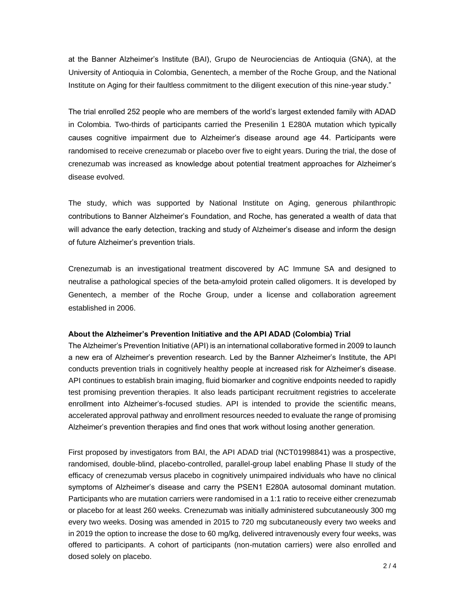at the Banner Alzheimer's Institute (BAI), Grupo de Neurociencias de Antioquia (GNA), at the University of Antioquia in Colombia, Genentech, a member of the Roche Group, and the National Institute on Aging for their faultless commitment to the diligent execution of this nine-year study."

The trial enrolled 252 people who are members of the world's largest extended family with ADAD in Colombia. Two-thirds of participants carried the Presenilin 1 E280A mutation which typically causes cognitive impairment due to Alzheimer's disease around age 44. Participants were randomised to receive crenezumab or placebo over five to eight years. During the trial, the dose of crenezumab was increased as knowledge about potential treatment approaches for Alzheimer's disease evolved.

The study, which was supported by National Institute on Aging, generous philanthropic contributions to Banner Alzheimer's Foundation, and Roche, has generated a wealth of data that will advance the early detection, tracking and study of Alzheimer's disease and inform the design of future Alzheimer's prevention trials.

Crenezumab is an investigational treatment discovered by AC Immune SA and designed to neutralise a pathological species of the beta-amyloid protein called oligomers. It is developed by Genentech, a member of the Roche Group, under a license and collaboration agreement established in 2006.

#### **About the Alzheimer's Prevention Initiative and the API ADAD (Colombia) Trial**

The Alzheimer's Prevention Initiative (API) is an international collaborative formed in 2009 to launch a new era of Alzheimer's prevention research. Led by the Banner Alzheimer's Institute, the API conducts prevention trials in cognitively healthy people at increased risk for Alzheimer's disease. API continues to establish brain imaging, fluid biomarker and cognitive endpoints needed to rapidly test promising prevention therapies. It also leads participant recruitment registries to accelerate enrollment into Alzheimer's-focused studies. API is intended to provide the scientific means, accelerated approval pathway and enrollment resources needed to evaluate the range of promising Alzheimer's prevention therapies and find ones that work without losing another generation.

First proposed by investigators from BAI, the API ADAD trial (NCT01998841) was a prospective, randomised, double-blind, placebo-controlled, parallel-group label enabling Phase II study of the efficacy of crenezumab versus placebo in cognitively unimpaired individuals who have no clinical symptoms of Alzheimer's disease and carry the PSEN1 E280A autosomal dominant mutation. Participants who are mutation carriers were randomised in a 1:1 ratio to receive either crenezumab or placebo for at least 260 weeks. Crenezumab was initially administered subcutaneously 300 mg every two weeks. Dosing was amended in 2015 to 720 mg subcutaneously every two weeks and in 2019 the option to increase the dose to 60 mg/kg, delivered intravenously every four weeks, was offered to participants. A cohort of participants (non-mutation carriers) were also enrolled and dosed solely on placebo.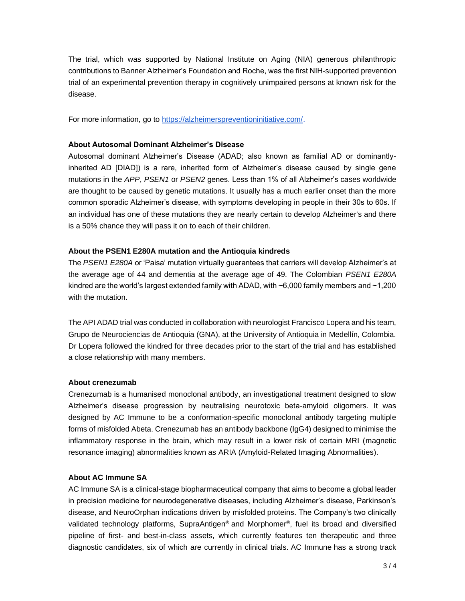The trial, which was supported by National Institute on Aging (NIA) generous philanthropic contributions to Banner Alzheimer's Foundation and Roche, was the first NIH-supported prevention trial of an experimental prevention therapy in cognitively unimpaired persons at known risk for the disease.

For more information, go to [https://alzheimerspreventioninitiative.com/.](https://alzheimerspreventioninitiative.com/)

### **About Autosomal Dominant Alzheimer's Disease**

Autosomal dominant Alzheimer's Disease (ADAD; also known as familial AD or dominantlyinherited AD [DIAD]) is a rare, inherited form of Alzheimer's disease caused by single gene mutations in the *APP*, *PSEN1* or *PSEN2* genes. Less than 1% of all Alzheimer's cases worldwide are thought to be caused by genetic mutations. It usually has a much earlier onset than the more common sporadic Alzheimer's disease, with symptoms developing in people in their 30s to 60s. If an individual has one of these mutations they are nearly certain to develop Alzheimer's and there is a 50% chance they will pass it on to each of their children.

### **About the PSEN1 E280A mutation and the Antioquia kindreds**

The *PSEN1 E280A* or 'Paisa' mutation virtually guarantees that carriers will develop Alzheimer's at the average age of 44 and dementia at the average age of 49. The Colombian *PSEN1 E280A* kindred are the world's largest extended family with ADAD, with ~6,000 family members and ~1,200 with the mutation.

The API ADAD trial was conducted in collaboration with neurologist Francisco Lopera and his team, Grupo de Neurociencias de Antioquia (GNA), at the University of Antioquia in Medellín, Colombia. Dr Lopera followed the kindred for three decades prior to the start of the trial and has established a close relationship with many members.

## **About crenezumab**

Crenezumab is a humanised monoclonal antibody, an investigational treatment designed to slow Alzheimer's disease progression by neutralising neurotoxic beta-amyloid oligomers. It was designed by AC Immune to be a conformation-specific monoclonal antibody targeting multiple forms of misfolded Abeta. Crenezumab has an antibody backbone (IgG4) designed to minimise the inflammatory response in the brain, which may result in a lower risk of certain MRI (magnetic resonance imaging) abnormalities known as ARIA (Amyloid-Related Imaging Abnormalities).

## **About AC Immune SA**

AC Immune SA is a clinical-stage biopharmaceutical company that aims to become a global leader in precision medicine for neurodegenerative diseases, including Alzheimer's disease, Parkinson's disease, and NeuroOrphan indications driven by misfolded proteins. The Company's two clinically validated technology platforms, SupraAntigen® and Morphomer®, fuel its broad and diversified pipeline of first- and best-in-class assets, which currently features ten therapeutic and three diagnostic candidates, six of which are currently in clinical trials. AC Immune has a strong track